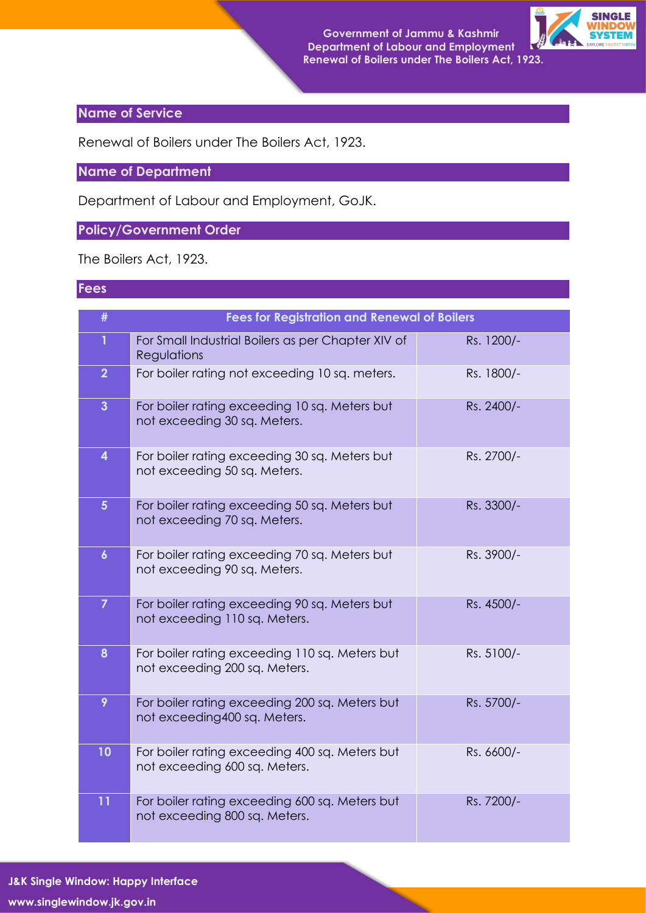

## **Name of Service**

Renewal of Boilers under The Boilers Act, 1923.

**Name of Department**

Department of Labour and Employment, GoJK.

## **Policy/Government Order**

The Boilers Act, 1923.

## **Fees**

| #                | <b>Fees for Registration and Renewal of Boilers</b>                             |            |
|------------------|---------------------------------------------------------------------------------|------------|
| $\mathbf{1}$     | For Small Industrial Boilers as per Chapter XIV of<br>Regulations               | Rs. 1200/- |
| $\overline{2}$   | For boiler rating not exceeding 10 sq. meters.                                  | Rs. 1800/- |
| $\overline{3}$   | For boiler rating exceeding 10 sq. Meters but<br>not exceeding 30 sq. Meters.   | Rs. 2400/- |
| 4                | For boiler rating exceeding 30 sq. Meters but<br>not exceeding 50 sq. Meters.   | Rs. 2700/- |
| 5 <sup>5</sup>   | For boiler rating exceeding 50 sq. Meters but<br>not exceeding 70 sq. Meters.   | Rs. 3300/- |
| $\boldsymbol{6}$ | For boiler rating exceeding 70 sq. Meters but<br>not exceeding 90 sq. Meters.   | Rs. 3900/- |
| $\overline{7}$   | For boiler rating exceeding 90 sq. Meters but<br>not exceeding 110 sq. Meters.  | Rs. 4500/- |
| 8                | For boiler rating exceeding 110 sq. Meters but<br>not exceeding 200 sq. Meters. | Rs. 5100/- |
| 9                | For boiler rating exceeding 200 sq. Meters but<br>not exceeding400 sq. Meters.  | Rs. 5700/- |
| 10               | For boiler rating exceeding 400 sq. Meters but<br>not exceeding 600 sq. Meters. | Rs. 6600/- |
| 11               | For boiler rating exceeding 600 sq. Meters but<br>not exceeding 800 sq. Meters. | Rs. 7200/- |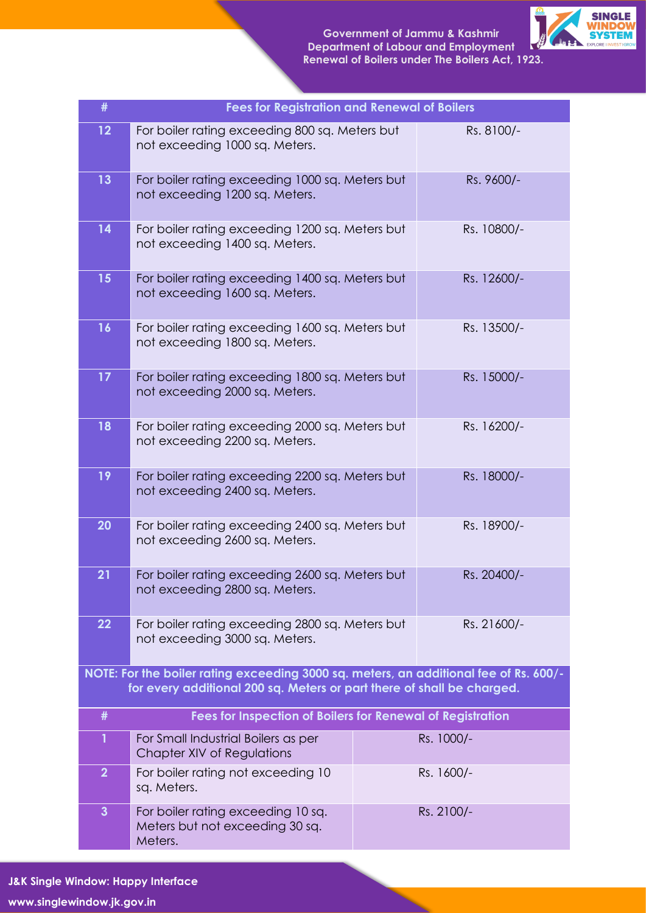

| #                                                                                                                                                               | <b>Fees for Registration and Renewal of Boilers</b>                                              |  |             |  |
|-----------------------------------------------------------------------------------------------------------------------------------------------------------------|--------------------------------------------------------------------------------------------------|--|-------------|--|
| 12                                                                                                                                                              | For boiler rating exceeding 800 sq. Meters but<br>not exceeding 1000 sq. Meters.                 |  | Rs. 8100/-  |  |
| 13                                                                                                                                                              | For boiler rating exceeding 1000 sq. Meters but<br>not exceeding 1200 sq. Meters.                |  | Rs. 9600/-  |  |
| 14                                                                                                                                                              | For boiler rating exceeding 1200 sq. Meters but<br>not exceeding 1400 sq. Meters.                |  | Rs. 10800/- |  |
| 15                                                                                                                                                              | For boiler rating exceeding 1400 sq. Meters but<br>not exceeding 1600 sq. Meters.                |  | Rs. 12600/- |  |
| 16                                                                                                                                                              | For boiler rating exceeding 1600 sq. Meters but<br>not exceeding 1800 sq. Meters.                |  | Rs. 13500/- |  |
| 17                                                                                                                                                              | For boiler rating exceeding 1800 sq. Meters but<br>not exceeding 2000 sq. Meters.                |  | Rs. 15000/- |  |
| 18                                                                                                                                                              | For boiler rating exceeding 2000 sq. Meters but<br>not exceeding 2200 sq. Meters.                |  | Rs. 16200/- |  |
| 19                                                                                                                                                              | For boiler rating exceeding 2200 sq. Meters but<br>not exceeding 2400 sq. Meters.                |  | Rs. 18000/- |  |
| 20                                                                                                                                                              | For boiler rating exceeding 2400 sq. Meters but<br>not exceeding 2600 sq. Meters.                |  | Rs. 18900/- |  |
| 21                                                                                                                                                              | For boiler rating exceeding 2600 sq. Meters but<br>Rs. 20400/-<br>not exceeding 2800 sq. Meters. |  |             |  |
| 22                                                                                                                                                              | For boiler rating exceeding 2800 sq. Meters but<br>not exceeding 3000 sq. Meters.                |  | Rs. 21600/- |  |
| NOTE: For the boiler rating exceeding 3000 sq. meters, an additional fee of Rs. 600/-<br>for every additional 200 sq. Meters or part there of shall be charged. |                                                                                                  |  |             |  |
| #                                                                                                                                                               | Fees for Inspection of Boilers for Renewal of Registration                                       |  |             |  |
| $\mathbf{1}$                                                                                                                                                    | For Small Industrial Boilers as per<br>Chapter XIV of Regulations                                |  | Rs. 1000/-  |  |
| $\overline{2}$                                                                                                                                                  | For boiler rating not exceeding 10<br>sq. Meters.                                                |  | Rs. 1600/-  |  |
| $\overline{\mathbf{3}}$                                                                                                                                         | For boiler rating exceeding 10 sq.<br>Meters but not exceeding 30 sq.<br>Meters.                 |  | Rs. 2100/-  |  |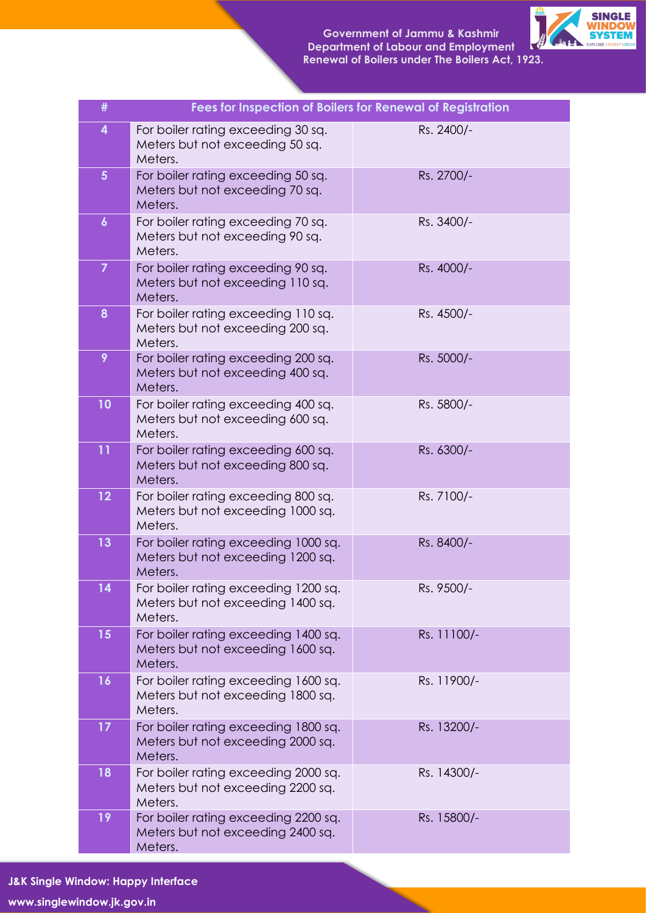

| #                | Fees for Inspection of Boilers for Renewal of Registration                           |             |
|------------------|--------------------------------------------------------------------------------------|-------------|
| 4                | For boiler rating exceeding 30 sq.<br>Meters but not exceeding 50 sq.<br>Meters.     | Rs. 2400/-  |
| $5\phantom{.}$   | For boiler rating exceeding 50 sq.<br>Meters but not exceeding 70 sq.<br>Meters.     | Rs. 2700/-  |
| $\boldsymbol{6}$ | For boiler rating exceeding 70 sq.<br>Meters but not exceeding 90 sq.<br>Meters.     | Rs. 3400/-  |
| $\overline{7}$   | For boiler rating exceeding 90 sq.<br>Meters but not exceeding 110 sq.<br>Meters.    | Rs. 4000/-  |
| 8                | For boiler rating exceeding 110 sq.<br>Meters but not exceeding 200 sq.<br>Meters.   | Rs. 4500/-  |
| 9                | For boiler rating exceeding 200 sq.<br>Meters but not exceeding 400 sq.<br>Meters.   | Rs. 5000/-  |
| 10               | For boiler rating exceeding 400 sq.<br>Meters but not exceeding 600 sq.<br>Meters.   | Rs. 5800/-  |
| 11               | For boiler rating exceeding 600 sq.<br>Meters but not exceeding 800 sq.<br>Meters.   | Rs. 6300/-  |
| 12               | For boiler rating exceeding 800 sq.<br>Meters but not exceeding 1000 sq.<br>Meters.  | Rs. 7100/-  |
| 13               | For boiler rating exceeding 1000 sq.<br>Meters but not exceeding 1200 sq.<br>Meters. | Rs. 8400/-  |
| 14               | For boiler rating exceeding 1200 sq.<br>Meters but not exceeding 1400 sq.<br>Meters. | Rs. 9500/-  |
| 15               | For boiler rating exceeding 1400 sq.<br>Meters but not exceeding 1600 sq.<br>Meters. | Rs. 11100/- |
| 16               | For boiler rating exceeding 1600 sq.<br>Meters but not exceeding 1800 sq.<br>Meters. | Rs. 11900/- |
| 17               | For boiler rating exceeding 1800 sq.<br>Meters but not exceeding 2000 sq.<br>Meters. | Rs. 13200/- |
| 18               | For boiler rating exceeding 2000 sq.<br>Meters but not exceeding 2200 sq.<br>Meters. | Rs. 14300/- |
| 19               | For boiler rating exceeding 2200 sq.<br>Meters but not exceeding 2400 sq.<br>Meters. | Rs. 15800/- |